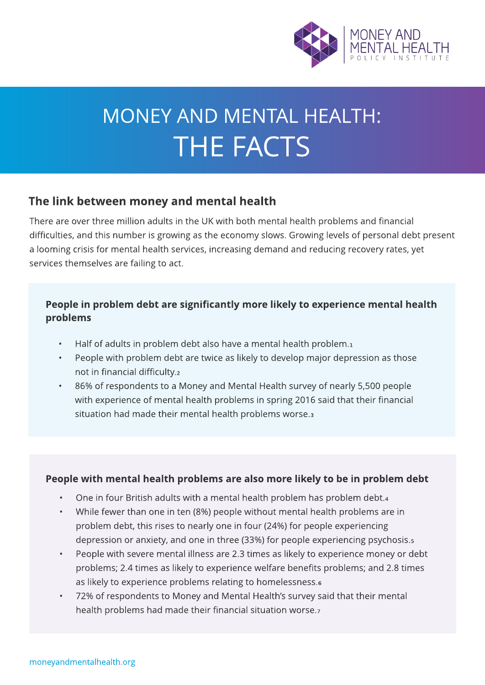

# MONEY AND MENTAL HEALTH: **THE FACTS**

## The link between money and mental health

There are over three million adults in the UK with both mental health problems and financial difficulties, and this number is growing as the economy slows. Growing levels of personal debt present a looming crisis for mental health services, increasing demand and reducing recovery rates, yet services themselves are failing to act.

#### People in problem debt are significantly more likely to experience mental health problems

- $\cdot$  Half of adults in problem debt also have a mental health problem.
- People with problem debt are twice as likely to develop major depression as those not in financial difficulty.?
- 86% of respondents to a Money and Mental Health survey of nearly 5,500 people with experience of mental health problems in spring 2016 said that their financial situation had made their mental health problems worse.<sup>3</sup>

#### People with mental health problems are also more likely to be in problem debt

- . One in four British adults with a mental health problem has problem debt.4
- While fewer than one in ten (8%) people without mental health problems are in problem debt, this rises to nearly one in four (24%) for people experiencing depression or anxiety, and one in three (33%) for people experiencing psychosis.?
- People with severe mental illness are 2.3 times as likely to experience money or debt problems; 2.4 times as likely to experience welfare benefits problems; and 2.8 times as likely to experience problems relating to homelessness.<sup>6</sup>
- 72% of respondents to Money and Mental Health's survey said that their mental health problems had made their financial situation worse.?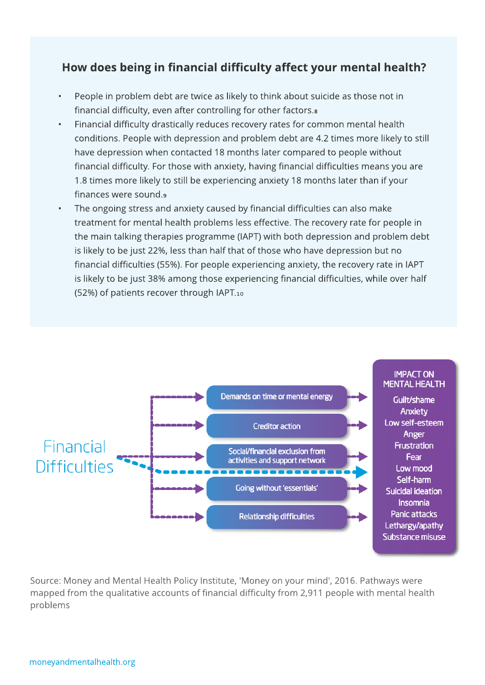## How does being in financial difficulty affect your mental health?

- People in problem debt are twice as likely to think about suicide as those not in financial difficulty, even after controlling for other factors.<sup>8</sup>
- Financial difficulty drastically reduces recovery rates for common mental health conditions. People with depression and problem debt are 4.2 times more likely to still have depression when contacted 18 months later compared to people without financial difficulty. For those with anxiety, having financial difficulties means you are 1.8 times more likely to still be experiencing anxiety 18 months later than if your finances were sound.?
- The ongoing stress and anxiety caused by financial difficulties can also make treatment for mental health problems less effective. The recovery rate for people in the main talking therapies programme (IAPT) with both depression and problem debt is likely to be just 22%, less than half that of those who have depression but no financial difficulties (55%). For people experiencing anxiety, the recovery rate in IAPT is likely to be just 38% among those experiencing financial difficulties, while over half (52%) of patients recover through IAPT.10



Source: Money and Mental Health Policy Institute, 'Money on your mind', 2016. Pathways were mapped from the qualitative accounts of financial difficulty from 2,911 people with mental health problems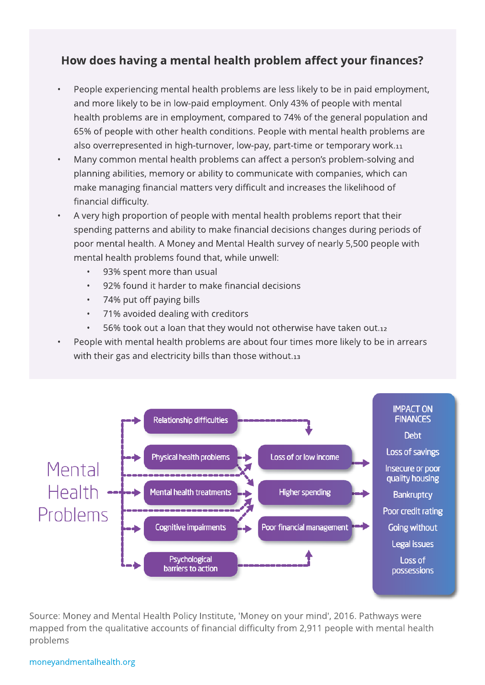# How does having a mental health problem affect your finances?

- People experiencing mental health problems are less likely to be in paid employment, and more likely to be in low-paid employment. Only 43% of people with mental health problems are in employment, compared to 74% of the general population and 65% of people with other health conditions. People with mental health problems are also overrepresented in high-turnover, low-pay, part-time or temporary work.11
- Many common mental health problems can affect a person's problem-solving and planning abilities, memory or ability to communicate with companies, which can make managing financial matters very difficult and increases the likelihood of financial difficulty.
- A very high proportion of people with mental health problems report that their spending patterns and ability to make financial decisions changes during periods of poor mental health. A Money and Mental Health survey of nearly 5,500 people with mental health problems found that, while unwell:
	- 93% spent more than usual
	- 92% found it harder to make financial decisions
	- 74% put off paying bills
	- 71% avoided dealing with creditors
	- 56% took out a loan that they would not otherwise have taken out.12
- People with mental health problems are about four times more likely to be in arrears with their gas and electricity bills than those without. $13$



Source: Money and Mental Health Policy Institute, 'Money on your mind', 2016. Pathways were mapped from the qualitative accounts of financial difficulty from 2,911 people with mental health problems

#### moneyandmentalhealth.org